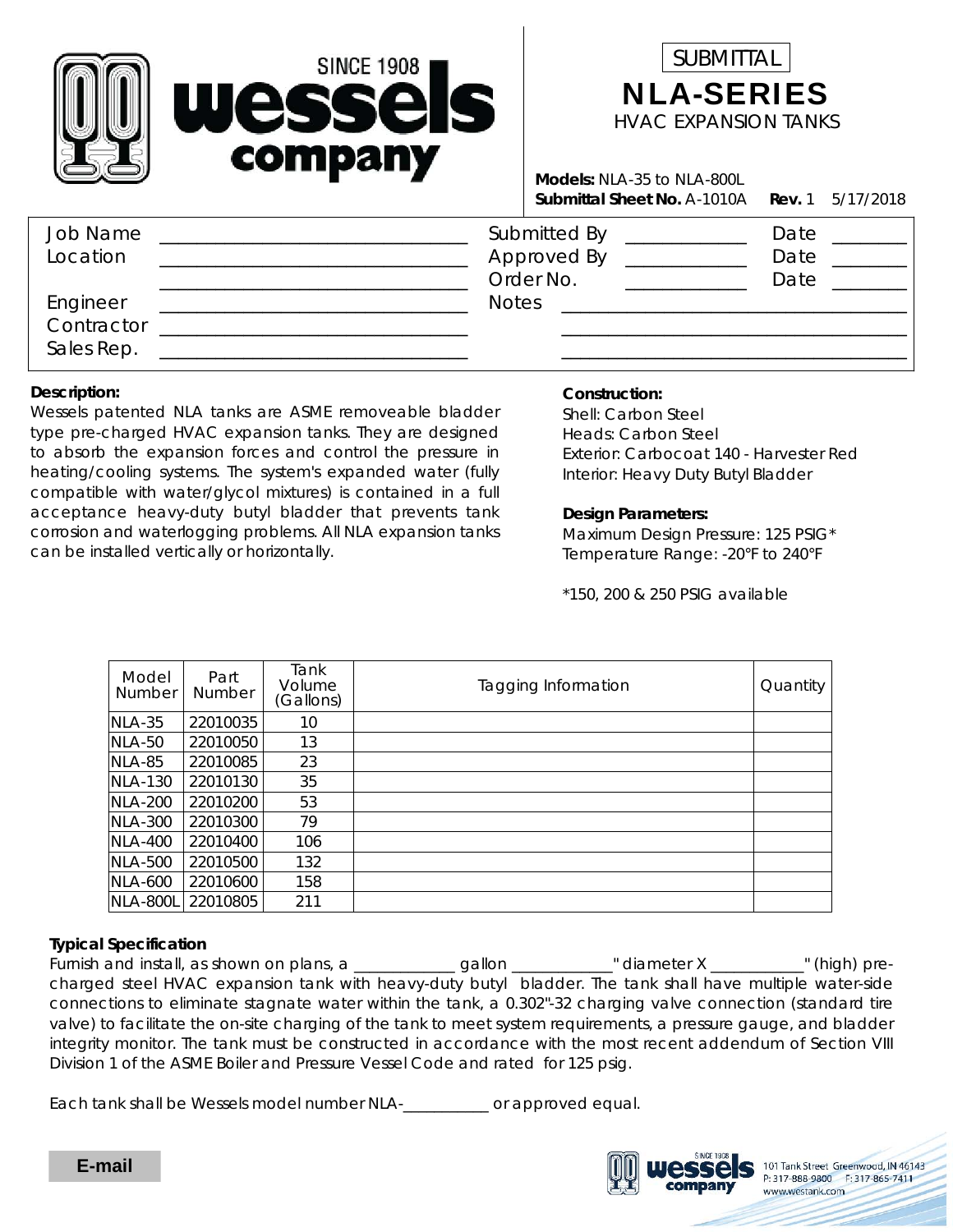



**Rev.** 1  $5/17/2018$ **Submittal Sheet No.** A-1010A **Rev. Models:** NLA-35 to NLA-800L

| <b>Job Name</b><br>Location          | Submitted By<br>Approved By<br>Order No. | Date<br>Date<br>Date |
|--------------------------------------|------------------------------------------|----------------------|
| Engineer<br>Contractor<br>Sales Rep. | <b>Notes</b>                             |                      |

#### **Description:**

Wessels patented NLA tanks are ASME removeable bladder type pre-charged HVAC expansion tanks. They are designed to absorb the expansion forces and control the pressure in heating/cooling systems. The system's expanded water (fully compatible with water/glycol mixtures) is contained in a full acceptance heavy-duty butyl bladder that prevents tank corrosion and waterlogging problems. All NLA expansion tanks can be installed vertically or horizontally.

### **Construction:**

Interior: Heavy Duty Butyl Bladder Exterior: Carbocoat 140 - Harvester Red Shell: Carbon Steel Heads: Carbon Steel

#### **Design Parameters:**

Temperature Range: -20°F to 240°F Maximum Design Pressure: 125 PSIG\*

\*150, 200 & 250 PSIG available

| Model<br><b>Number</b> | Part<br><b>Number</b> | Tank<br>Volume<br>(Gallons) | Tagging Information | Quantity |
|------------------------|-----------------------|-----------------------------|---------------------|----------|
| $NLA-35$               | 22010035              | 10                          |                     |          |
| NLA-50                 | 22010050              | 13                          |                     |          |
| NLA-85                 | 22010085              | 23                          |                     |          |
| <b>NLA-130</b>         | 22010130              | 35                          |                     |          |
| <b>NLA-200</b>         | 22010200              | 53                          |                     |          |
| <b>NLA-300</b>         | 22010300              | 79                          |                     |          |
| <b>NLA-400</b>         | 22010400              | 106                         |                     |          |
| NLA-500                | 22010500              | 132                         |                     |          |
| NLA-600                | 22010600              | 158                         |                     |          |
| NLA-800L               | 22010805              | 211                         |                     |          |

### **Typical Specification**

Furnish and install, as shown on plans, a \_\_\_\_\_\_\_\_\_\_\_\_\_gallon \_\_\_\_\_\_\_\_\_\_\_\_" diameter X \_\_\_\_\_\_\_\_\_\_\_" (high) precharged steel HVAC expansion tank with heavy-duty butyl bladder. The tank shall have multiple water-side connections to eliminate stagnate water within the tank, a 0.302"-32 charging valve connection (standard tire valve) to facilitate the on-site charging of the tank to meet system requirements, a pressure gauge, and bladder integrity monitor. The tank must be constructed in accordance with the most recent addendum of Section VIII Division 1 of the ASME Boiler and Pressure Vessel Code and rated for 125 psig.

Each tank shall be Wessels model number NLA-\_\_\_\_\_\_\_\_\_\_\_ or approved equal.



101 Tank Street Greenwood, IN 46143 P: 317-888-9800 F: 317-865-7411 www.westank.com